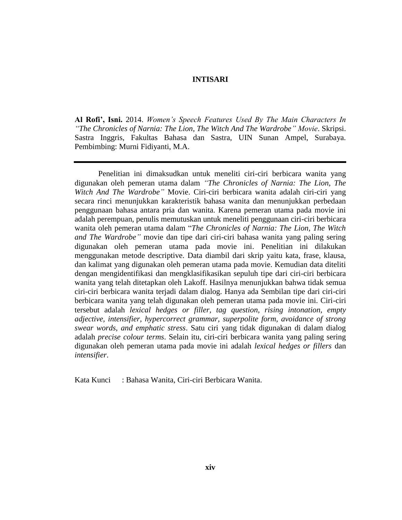## **INTISARI**

**Al Rofi', Isni.** 2014. *Women's Speech Features Used By The Main Characters In "The Chronicles of Narnia: The Lion, The Witch And The Wardrobe" Movie*. Skripsi. Sastra Inggris, Fakultas Bahasa dan Sastra, UIN Sunan Ampel, Surabaya. Pembimbing: Murni Fidiyanti, M.A.

Penelitian ini dimaksudkan untuk meneliti ciri-ciri berbicara wanita yang digunakan oleh pemeran utama dalam *"The Chronicles of Narnia: The Lion, The Witch And The Wardrobe"* Movie. Ciri-ciri berbicara wanita adalah ciri-ciri yang secara rinci menunjukkan karakteristik bahasa wanita dan menunjukkan perbedaan penggunaan bahasa antara pria dan wanita. Karena pemeran utama pada movie ini adalah perempuan, penulis memutuskan untuk meneliti penggunaan ciri-ciri berbicara wanita oleh pemeran utama dalam "*The Chronicles of Narnia: The Lion, The Witch and The Wardrobe"* movie dan tipe dari ciri-ciri bahasa wanita yang paling sering digunakan oleh pemeran utama pada movie ini. Penelitian ini dilakukan menggunakan metode descriptive. Data diambil dari skrip yaitu kata, frase, klausa, dan kalimat yang digunakan oleh pemeran utama pada movie. Kemudian data diteliti dengan mengidentifikasi dan mengklasifikasikan sepuluh tipe dari ciri-ciri berbicara wanita yang telah ditetapkan oleh Lakoff. Hasilnya menunjukkan bahwa tidak semua ciri-ciri berbicara wanita terjadi dalam dialog. Hanya ada Sembilan tipe dari ciri-ciri berbicara wanita yang telah digunakan oleh pemeran utama pada movie ini. Ciri-ciri tersebut adalah *lexical hedges or filler, tag question, rising intonation, empty adjective, intensifier, hypercorrect grammar, superpolite form, avoidance of strong swear words, and emphatic stress*. Satu ciri yang tidak digunakan di dalam dialog adalah *precise colour terms*. Selain itu, ciri-ciri berbicara wanita yang paling sering digunakan oleh pemeran utama pada movie ini adalah *lexical hedges or fillers* dan *intensifier*.

Kata Kunci : Bahasa Wanita, Ciri-ciri Berbicara Wanita.